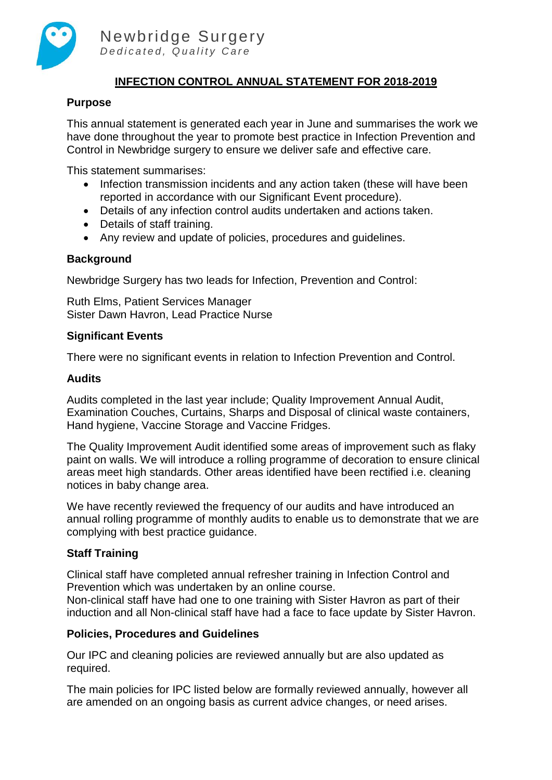

# **INFECTION CONTROL ANNUAL STATEMENT FOR 2018-2019**

### **Purpose**

This annual statement is generated each year in June and summarises the work we have done throughout the year to promote best practice in Infection Prevention and Control in Newbridge surgery to ensure we deliver safe and effective care.

This statement summarises:

- Infection transmission incidents and any action taken (these will have been reported in accordance with our Significant Event procedure).
- Details of any infection control audits undertaken and actions taken.
- Details of staff training.
- Any review and update of policies, procedures and guidelines.

#### **Background**

Newbridge Surgery has two leads for Infection, Prevention and Control:

Ruth Elms, Patient Services Manager Sister Dawn Havron, Lead Practice Nurse

#### **Significant Events**

There were no significant events in relation to Infection Prevention and Control.

#### **Audits**

Audits completed in the last year include; Quality Improvement Annual Audit, Examination Couches, Curtains, Sharps and Disposal of clinical waste containers, Hand hygiene, Vaccine Storage and Vaccine Fridges.

The Quality Improvement Audit identified some areas of improvement such as flaky paint on walls. We will introduce a rolling programme of decoration to ensure clinical areas meet high standards. Other areas identified have been rectified i.e. cleaning notices in baby change area.

We have recently reviewed the frequency of our audits and have introduced an annual rolling programme of monthly audits to enable us to demonstrate that we are complying with best practice guidance.

## **Staff Training**

Clinical staff have completed annual refresher training in Infection Control and Prevention which was undertaken by an online course.

Non-clinical staff have had one to one training with Sister Havron as part of their induction and all Non-clinical staff have had a face to face update by Sister Havron.

## **Policies, Procedures and Guidelines**

Our IPC and cleaning policies are reviewed annually but are also updated as required.

The main policies for IPC listed below are formally reviewed annually, however all are amended on an ongoing basis as current advice changes, or need arises.